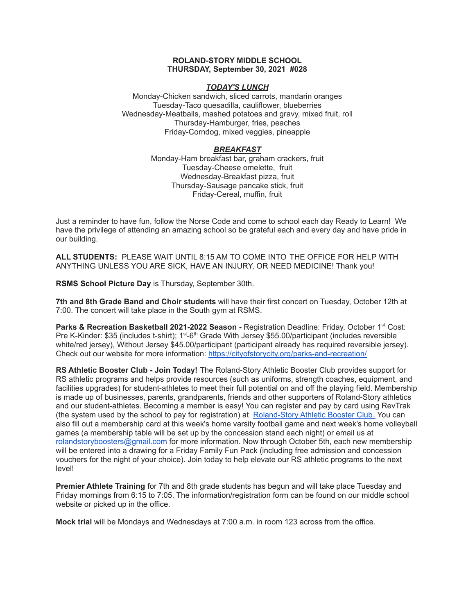# **ROLAND-STORY MIDDLE SCHOOL THURSDAY, September 30, 2021 #028**

# *TODAY'S LUNCH*

Monday-Chicken sandwich, sliced carrots, mandarin oranges Tuesday-Taco quesadilla, cauliflower, blueberries Wednesday-Meatballs, mashed potatoes and gravy, mixed fruit, roll Thursday-Hamburger, fries, peaches Friday-Corndog, mixed veggies, pineapple

## *BREAKFAST*

Monday-Ham breakfast bar, graham crackers, fruit Tuesday-Cheese omelette, fruit Wednesday-Breakfast pizza, fruit Thursday-Sausage pancake stick, fruit Friday-Cereal, muffin, fruit

Just a reminder to have fun, follow the Norse Code and come to school each day Ready to Learn! We have the privilege of attending an amazing school so be grateful each and every day and have pride in our building.

**ALL STUDENTS:** PLEASE WAIT UNTIL 8:15 AM TO COME INTO THE OFFICE FOR HELP WITH ANYTHING UNLESS YOU ARE SICK, HAVE AN INJURY, OR NEED MEDICINE! Thank you!

**RSMS School Picture Day** is Thursday, September 30th.

**7th and 8th Grade Band and Choir students** will have their first concert on Tuesday, October 12th at 7:00. The concert will take place in the South gym at RSMS.

**Parks & Recreation Basketball 2021-2022 Season -** Registration Deadline: Friday, October 1 st. Cost: Pre K-Kinder: \$35 (includes t-shirt); 1<sup>st</sup>-6<sup>th</sup> Grade With Jersey \$55.00/participant (includes reversible white/red jersey), Without Jersey \$45.00/participant (participant already has required reversible jersey). Check out our website for more information: <https://cityofstorycity.org/parks-and-recreation/>

**RS Athletic Booster Club - Join Today!** The Roland-Story Athletic Booster Club provides support for RS athletic programs and helps provide resources (such as uniforms, strength coaches, equipment, and facilities upgrades) for student-athletes to meet their full potential on and off the playing field. Membership is made up of businesses, parents, grandparents, friends and other supporters of Roland-Story athletics and our student-athletes. Becoming a member is easy! You can register and pay by card using RevTrak (the system used by the school to pay for registration) at [Roland-Story](https://rolandstory.revtrak.net/Roland-Story-Athletic-Booster-Club/) Athletic Booster Club. You can also fill out a membership card at this week's home varsity football game and next week's home volleyball games (a membership table will be set up by the concession stand each night) or email us at rolandstoryboosters@gmail.com for more information. Now through October 5th, each new membership will be entered into a drawing for a Friday Family Fun Pack (including free admission and concession vouchers for the night of your choice). Join today to help elevate our RS athletic programs to the next level!

**Premier Athlete Training** for 7th and 8th grade students has begun and will take place Tuesday and Friday mornings from 6:15 to 7:05. The information/registration form can be found on our middle school website or picked up in the office.

**Mock trial** will be Mondays and Wednesdays at 7:00 a.m. in room 123 across from the office.